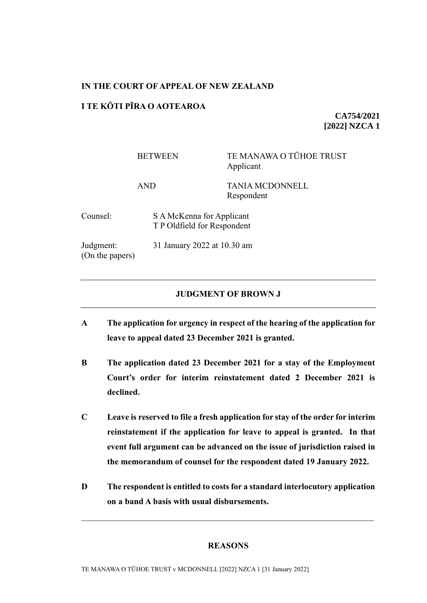## **IN THE COURT OF APPEAL OF NEW ZEALAND**

# **I TE KŌTI PĪRA O AOTEAROA**

**CA754/2021 [2022] NZCA 1**

|                              | <b>BETWEEN</b>                                           | TE MANAWA O TŪHOE TRUST<br>Applicant |
|------------------------------|----------------------------------------------------------|--------------------------------------|
|                              | AND                                                      | <b>TANIA MCDONNELL</b><br>Respondent |
| Counsel:                     | S A McKenna for Applicant<br>T P Oldfield for Respondent |                                      |
| Judgment:<br>(On the papers) | 31 January 2022 at 10.30 am                              |                                      |

### **JUDGMENT OF BROWN J**

- **A The application for urgency in respect of the hearing of the application for leave to appeal dated 23 December 2021 is granted.**
- **B The application dated 23 December 2021 for a stay of the Employment Court's order for interim reinstatement dated 2 December 2021 is declined.**
- **C Leave is reserved to file a fresh application for stay of the order for interim reinstatement if the application for leave to appeal is granted. In that event full argument can be advanced on the issue of jurisdiction raised in the memorandum of counsel for the respondent dated 19 January 2022.**
- **D The respondent is entitled to costs for a standard interlocutory application on a band A basis with usual disbursements.**

## **REASONS**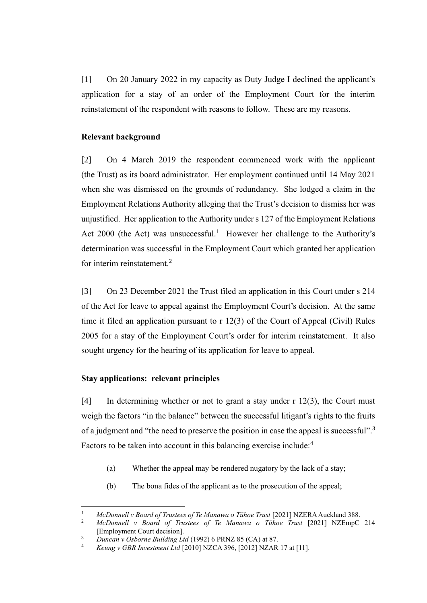[1] On 20 January 2022 in my capacity as Duty Judge I declined the applicant's application for a stay of an order of the Employment Court for the interim reinstatement of the respondent with reasons to follow. These are my reasons.

## **Relevant background**

[2] On 4 March 2019 the respondent commenced work with the applicant (the Trust) as its board administrator. Her employment continued until 14 May 2021 when she was dismissed on the grounds of redundancy. She lodged a claim in the Employment Relations Authority alleging that the Trust's decision to dismiss her was unjustified. Her application to the Authority under s 127 of the Employment Relations Act 2000 (the Act) was unsuccessful.<sup>1</sup> However her challenge to the Authority's determination was successful in the Employment Court which granted her application for interim reinstatement.<sup>2</sup>

[3] On 23 December 2021 the Trust filed an application in this Court under s 214 of the Act for leave to appeal against the Employment Court's decision. At the same time it filed an application pursuant to r 12(3) of the Court of Appeal (Civil) Rules 2005 for a stay of the Employment Court's order for interim reinstatement. It also sought urgency for the hearing of its application for leave to appeal.

### **Stay applications: relevant principles**

[4] In determining whether or not to grant a stay under r 12(3), the Court must weigh the factors "in the balance" between the successful litigant's rights to the fruits of a judgment and "the need to preserve the position in case the appeal is successful".<sup>3</sup> Factors to be taken into account in this balancing exercise include:<sup>4</sup>

- (a) Whether the appeal may be rendered nugatory by the lack of a stay;
- (b) The bona fides of the applicant as to the prosecution of the appeal;

<sup>1</sup> *McDonnell v Board of Trustees of Te Manawa o Tūhoe Trust* [2021] NZERA Auckland 388.

<sup>2</sup> *McDonnell v Board of Trustees of Te Manawa o Tūhoe Trust* [2021] NZEmpC 214 [Employment Court decision].

<sup>&</sup>lt;sup>3</sup> *Duncan v Osborne Building Ltd* (1992) 6 PRNZ 85 (CA) at 87.

<sup>4</sup> *Keung v GBR Investment Ltd* [2010] NZCA 396, [2012] NZAR 17 at [11].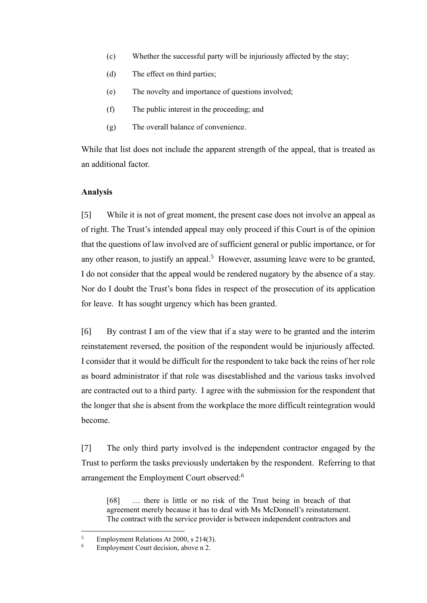- (c) Whether the successful party will be injuriously affected by the stay;
- (d) The effect on third parties;
- (e) The novelty and importance of questions involved;
- (f) The public interest in the proceeding; and
- (g) The overall balance of convenience.

While that list does not include the apparent strength of the appeal, that is treated as an additional factor.

#### **Analysis**

[5] While it is not of great moment, the present case does not involve an appeal as of right. The Trust's intended appeal may only proceed if this Court is of the opinion that the questions of law involved are of sufficient general or public importance, or for any other reason, to justify an appeal.<sup>5</sup> However, assuming leave were to be granted, I do not consider that the appeal would be rendered nugatory by the absence of a stay. Nor do I doubt the Trust's bona fides in respect of the prosecution of its application for leave. It has sought urgency which has been granted.

[6] By contrast I am of the view that if a stay were to be granted and the interim reinstatement reversed, the position of the respondent would be injuriously affected. I consider that it would be difficult for the respondent to take back the reins of her role as board administrator if that role was disestablished and the various tasks involved are contracted out to a third party. I agree with the submission for the respondent that the longer that she is absent from the workplace the more difficult reintegration would become.

[7] The only third party involved is the independent contractor engaged by the Trust to perform the tasks previously undertaken by the respondent. Referring to that arrangement the Employment Court observed:<sup>6</sup>

[68] … there is little or no risk of the Trust being in breach of that agreement merely because it has to deal with Ms McDonnell's reinstatement. The contract with the service provider is between independent contractors and

<sup>&</sup>lt;sup>5</sup> Employment Relations At 2000, s 214(3).

Employment Court decision, above n 2.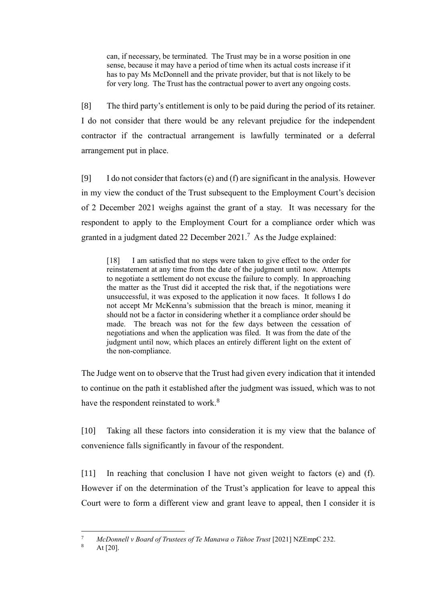can, if necessary, be terminated. The Trust may be in a worse position in one sense, because it may have a period of time when its actual costs increase if it has to pay Ms McDonnell and the private provider, but that is not likely to be for very long. The Trust has the contractual power to avert any ongoing costs.

[8] The third party's entitlement is only to be paid during the period of its retainer. I do not consider that there would be any relevant prejudice for the independent contractor if the contractual arrangement is lawfully terminated or a deferral arrangement put in place.

[9] I do not consider that factors  $(e)$  and  $(f)$  are significant in the analysis. However in my view the conduct of the Trust subsequent to the Employment Court's decision of 2 December 2021 weighs against the grant of a stay. It was necessary for the respondent to apply to the Employment Court for a compliance order which was granted in a judgment dated 22 December 2021.<sup>7</sup> As the Judge explained:

[18] I am satisfied that no steps were taken to give effect to the order for reinstatement at any time from the date of the judgment until now. Attempts to negotiate a settlement do not excuse the failure to comply. In approaching the matter as the Trust did it accepted the risk that, if the negotiations were unsuccessful, it was exposed to the application it now faces. It follows I do not accept Mr McKenna's submission that the breach is minor, meaning it should not be a factor in considering whether it a compliance order should be made. The breach was not for the few days between the cessation of negotiations and when the application was filed. It was from the date of the judgment until now, which places an entirely different light on the extent of the non-compliance.

The Judge went on to observe that the Trust had given every indication that it intended to continue on the path it established after the judgment was issued, which was to not have the respondent reinstated to work.<sup>8</sup>

[10] Taking all these factors into consideration it is my view that the balance of convenience falls significantly in favour of the respondent.

[11] In reaching that conclusion I have not given weight to factors (e) and (f). However if on the determination of the Trust's application for leave to appeal this Court were to form a different view and grant leave to appeal, then I consider it is

<sup>&</sup>lt;sup>7</sup> *McDonnell v Board of Trustees of Te Manawa o Tūhoe Trust* [2021] NZEmpC 232.

At  $[20]$ .